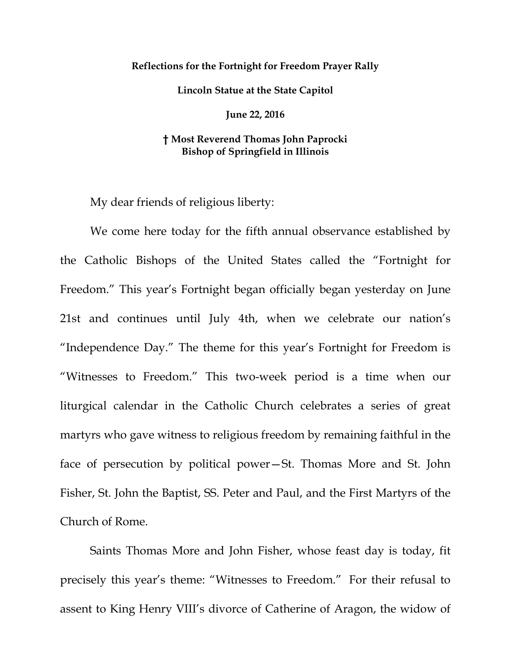## **Reflections for the Fortnight for Freedom Prayer Rally**

**Lincoln Statue at the State Capitol**

**June 22, 2016**

## **† Most Reverend Thomas John Paprocki Bishop of Springfield in Illinois**

My dear friends of religious liberty:

We come here today for the fifth annual observance established by the Catholic Bishops of the United States called the "Fortnight for Freedom." This year's Fortnight began officially began yesterday on June 21st and continues until July 4th, when we celebrate our nation's "Independence Day." The theme for this year's Fortnight for Freedom is "Witnesses to Freedom." This two-week period is a time when our liturgical calendar in the Catholic Church celebrates a series of great martyrs who gave witness to religious freedom by remaining faithful in the face of persecution by political power—St. Thomas More and St. John Fisher, St. John the Baptist, SS. Peter and Paul, and the First Martyrs of the Church of Rome.

Saints Thomas More and John Fisher, whose feast day is today, fit precisely this year's theme: "Witnesses to Freedom." For their refusal to assent to King Henry VIII's divorce of Catherine of Aragon, the widow of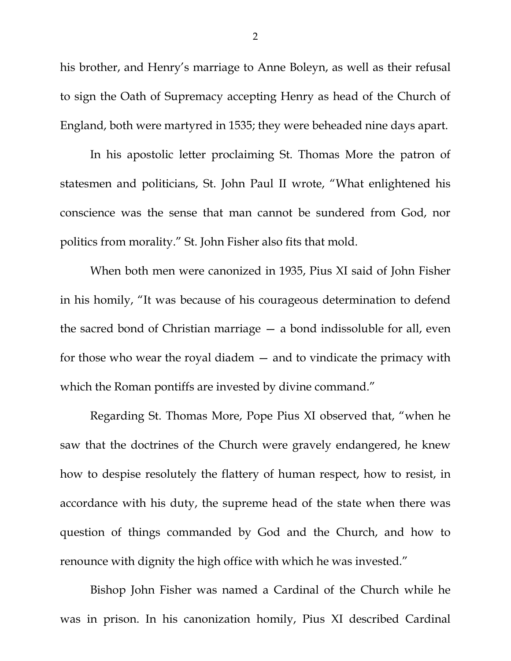his brother, and Henry's marriage to Anne Boleyn, as well as their refusal to sign the Oath of Supremacy accepting Henry as head of the Church of England, both were martyred in 1535; they were beheaded nine days apart.

In his apostolic letter proclaiming St. Thomas More the patron of statesmen and politicians, St. John Paul II wrote, "What enlightened his conscience was the sense that man cannot be sundered from God, nor politics from morality." St. John Fisher also fits that mold.

When both men were canonized in 1935, Pius XI said of John Fisher in his homily, "It was because of his courageous determination to defend the sacred bond of Christian marriage — a bond indissoluble for all, even for those who wear the royal diadem — and to vindicate the primacy with which the Roman pontiffs are invested by divine command."

Regarding St. Thomas More, Pope Pius XI observed that, "when he saw that the doctrines of the Church were gravely endangered, he knew how to despise resolutely the flattery of human respect, how to resist, in accordance with his duty, the supreme head of the state when there was question of things commanded by God and the Church, and how to renounce with dignity the high office with which he was invested."

Bishop John Fisher was named a Cardinal of the Church while he was in prison. In his canonization homily, Pius XI described Cardinal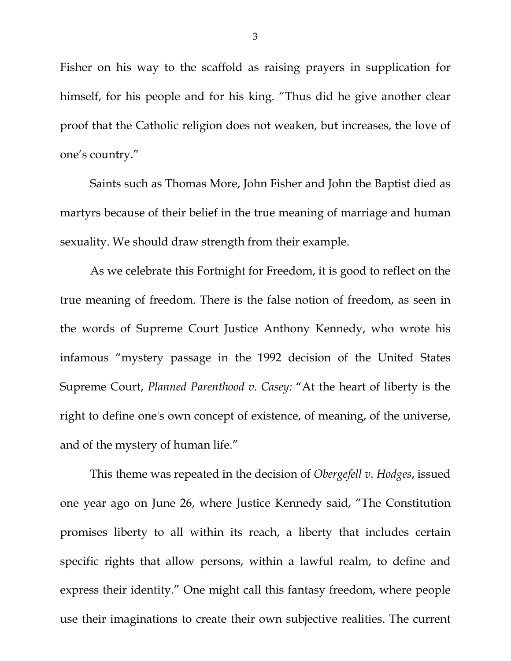Fisher on his way to the scaffold as raising prayers in supplication for himself, for his people and for his king. "Thus did he give another clear proof that the Catholic religion does not weaken, but increases, the love of one's country."

Saints such as Thomas More, John Fisher and John the Baptist died as martyrs because of their belief in the true meaning of marriage and human sexuality. We should draw strength from their example.

As we celebrate this Fortnight for Freedom, it is good to reflect on the true meaning of freedom. There is the false notion of freedom, as seen in the words of Supreme Court Justice Anthony Kennedy, who wrote his infamous "mystery passage in the 1992 decision of the United States Supreme Court, *Planned Parenthood v. Casey:* "At the heart of liberty is the right to define one's own concept of existence, of meaning, of the universe, and of the mystery of human life."

This theme was repeated in the decision of *Obergefell v. Hodges*, issued one year ago on June 26, where Justice Kennedy said, "The Constitution promises liberty to all within its reach, a liberty that includes certain specific rights that allow persons, within a lawful realm, to define and express their identity." One might call this fantasy freedom, where people use their imaginations to create their own subjective realities. The current